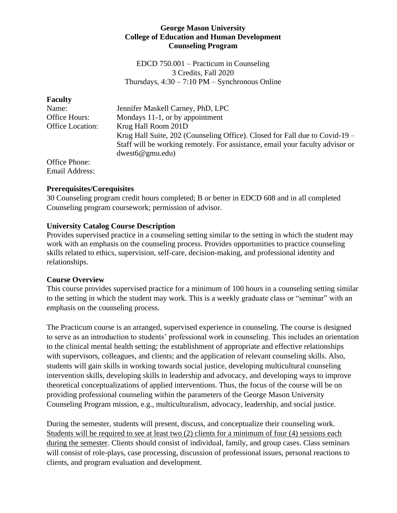### **George Mason University College of Education and Human Development Counseling Program**

EDCD 750.001 – Practicum in Counseling 3 Credits, Fall 2020 Thursdays,  $4:30 - 7:10 \text{ PM} - \text{Synchronous Online}$ 

| <b>Faculty</b>          |                                                                               |
|-------------------------|-------------------------------------------------------------------------------|
| Name:                   | Jennifer Maskell Carney, PhD, LPC                                             |
| Office Hours:           | Mondays 11-1, or by appointment                                               |
| <b>Office Location:</b> | Krug Hall Room 201D                                                           |
|                         | Krug Hall Suite, 202 (Counseling Office). Closed for Fall due to Covid-19 –   |
|                         | Staff will be working remotely. For assistance, email your faculty advisor or |
|                         | dwest6@gmu.edu)                                                               |
| Office Phone:           |                                                                               |
| <b>Email Address:</b>   |                                                                               |

## **Prerequisites/Corequisites**

30 Counseling program credit hours completed; B or better in EDCD 608 and in all completed Counseling program coursework; permission of advisor.

### **University Catalog Course Description**

Provides supervised practice in a counseling setting similar to the setting in which the student may work with an emphasis on the counseling process. Provides opportunities to practice counseling skills related to ethics, supervision, self-care, decision-making, and professional identity and relationships.

#### **Course Overview**

This course provides supervised practice for a minimum of 100 hours in a counseling setting similar to the setting in which the student may work. This is a weekly graduate class or "seminar" with an emphasis on the counseling process.

The Practicum course is an arranged, supervised experience in counseling. The course is designed to serve as an introduction to students' professional work in counseling. This includes an orientation to the clinical mental health setting; the establishment of appropriate and effective relationships with supervisors, colleagues, and clients; and the application of relevant counseling skills. Also, students will gain skills in working towards social justice, developing multicultural counseling intervention skills, developing skills in leadership and advocacy, and developing ways to improve theoretical conceptualizations of applied interventions. Thus, the focus of the course will be on providing professional counseling within the parameters of the George Mason University Counseling Program mission, e.g., multiculturalism, advocacy, leadership, and social justice.

During the semester, students will present, discuss, and conceptualize their counseling work. Students will be required to see at least two (2) clients for a minimum of four (4) sessions each during the semester. Clients should consist of individual, family, and group cases. Class seminars will consist of role-plays, case processing, discussion of professional issues, personal reactions to clients, and program evaluation and development.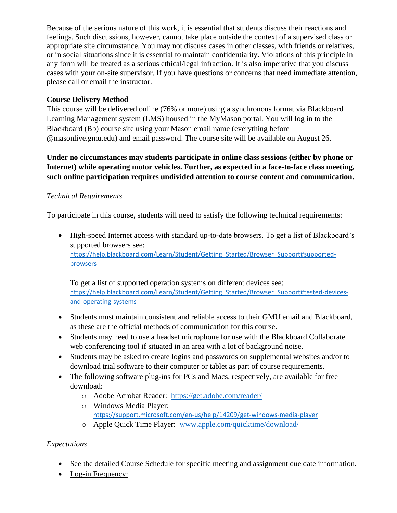Because of the serious nature of this work, it is essential that students discuss their reactions and feelings. Such discussions, however, cannot take place outside the context of a supervised class or appropriate site circumstance. You may not discuss cases in other classes, with friends or relatives, or in social situations since it is essential to maintain confidentiality. Violations of this principle in any form will be treated as a serious ethical/legal infraction. It is also imperative that you discuss cases with your on-site supervisor. If you have questions or concerns that need immediate attention, please call or email the instructor.

# **Course Delivery Method**

This course will be delivered online (76% or more) using a synchronous format via Blackboard Learning Management system (LMS) housed in the MyMason portal. You will log in to the Blackboard (Bb) course site using your Mason email name (everything before @masonlive.gmu.edu) and email password. The course site will be available on August 26.

**Under no circumstances may students participate in online class sessions (either by phone or Internet) while operating motor vehicles. Further, as expected in a face-to-face class meeting, such online participation requires undivided attention to course content and communication.**

# *Technical Requirements*

To participate in this course, students will need to satisfy the following technical requirements:

• High-speed Internet access with standard up-to-date browsers. To get a list of Blackboard's supported browsers see: [https://help.blackboard.com/Learn/Student/Getting\\_Started/Browser\\_Support#supported](https://help.blackboard.com/Learn/Student/Getting_Started/Browser_Support#supported-browsers)[browsers](https://help.blackboard.com/Learn/Student/Getting_Started/Browser_Support#supported-browsers)

To get a list of supported operation systems on different devices see: https://help.blackboard.com/Learn/Student/Getting Started/Browser Support#tested-devices[and-operating-systems](https://help.blackboard.com/Learn/Student/Getting_Started/Browser_Support#tested-devices-and-operating-systems)

- Students must maintain consistent and reliable access to their GMU email and Blackboard, as these are the official methods of communication for this course.
- Students may need to use a headset microphone for use with the Blackboard Collaborate web conferencing tool if situated in an area with a lot of background noise.
- Students may be asked to create logins and passwords on supplemental websites and/or to download trial software to their computer or tablet as part of course requirements.
- The following software plug-ins for PCs and Macs, respectively, are available for free download:
	- o Adobe Acrobat Reader: <https://get.adobe.com/reader/>
	- o Windows Media Player: <https://support.microsoft.com/en-us/help/14209/get-windows-media-player>
	- o Apple Quick Time Player: [www.apple.com/quicktime/download/](http://www.apple.com/quicktime/download/)

# *Expectations*

- See the detailed Course Schedule for specific meeting and assignment due date information.
- Log-in Frequency: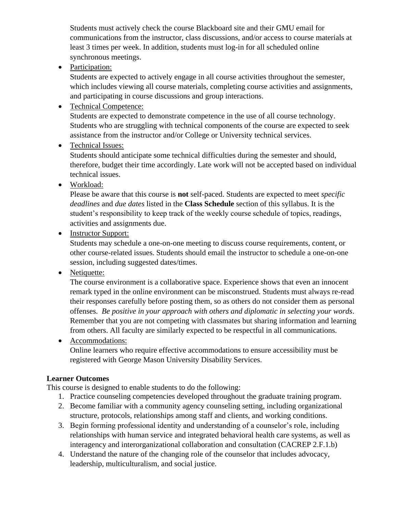Students must actively check the course Blackboard site and their GMU email for communications from the instructor, class discussions, and/or access to course materials at least 3 times per week. In addition, students must log-in for all scheduled online synchronous meetings.

• Participation:

Students are expected to actively engage in all course activities throughout the semester, which includes viewing all course materials, completing course activities and assignments, and participating in course discussions and group interactions.

• Technical Competence:

Students are expected to demonstrate competence in the use of all course technology. Students who are struggling with technical components of the course are expected to seek assistance from the instructor and/or College or University technical services.

• Technical Issues:

Students should anticipate some technical difficulties during the semester and should, therefore, budget their time accordingly. Late work will not be accepted based on individual technical issues.

• Workload:

Please be aware that this course is **not** self-paced. Students are expected to meet *specific deadlines* and *due dates* listed in the **Class Schedule** section of this syllabus. It is the student's responsibility to keep track of the weekly course schedule of topics, readings, activities and assignments due.

• Instructor Support:

Students may schedule a one-on-one meeting to discuss course requirements, content, or other course-related issues. Students should email the instructor to schedule a one-on-one session, including suggested dates/times.

• Netiquette:

The course environment is a collaborative space. Experience shows that even an innocent remark typed in the online environment can be misconstrued. Students must always re-read their responses carefully before posting them, so as others do not consider them as personal offenses. *Be positive in your approach with others and diplomatic in selecting your words*. Remember that you are not competing with classmates but sharing information and learning from others. All faculty are similarly expected to be respectful in all communications.

• Accommodations:

Online learners who require effective accommodations to ensure accessibility must be registered with George Mason University Disability Services.

# **Learner Outcomes**

This course is designed to enable students to do the following:

- 1. Practice counseling competencies developed throughout the graduate training program.
- 2. Become familiar with a community agency counseling setting, including organizational structure, protocols, relationships among staff and clients, and working conditions.
- 3. Begin forming professional identity and understanding of a counselor's role, including relationships with human service and integrated behavioral health care systems, as well as interagency and interorganizational collaboration and consultation (CACREP 2.F.1.b)
- 4. Understand the nature of the changing role of the counselor that includes advocacy, leadership, multiculturalism, and social justice.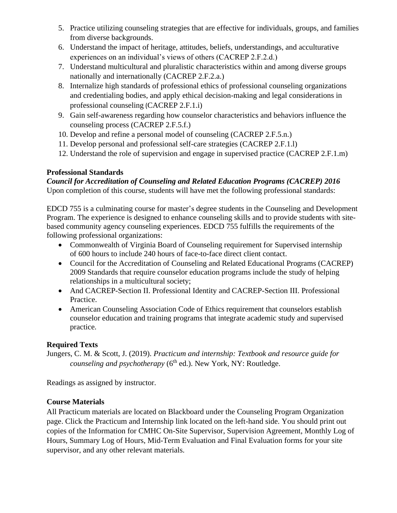- 5. Practice utilizing counseling strategies that are effective for individuals, groups, and families from diverse backgrounds.
- 6. Understand the impact of heritage, attitudes, beliefs, understandings, and acculturative experiences on an individual's views of others (CACREP 2.F.2.d.)
- 7. Understand multicultural and pluralistic characteristics within and among diverse groups nationally and internationally (CACREP 2.F.2.a.)
- 8. Internalize high standards of professional ethics of professional counseling organizations and credentialing bodies, and apply ethical decision-making and legal considerations in professional counseling (CACREP 2.F.1.i)
- 9. Gain self-awareness regarding how counselor characteristics and behaviors influence the counseling process (CACREP 2.F.5.f.)
- 10. Develop and refine a personal model of counseling (CACREP 2.F.5.n.)
- 11. Develop personal and professional self-care strategies (CACREP 2.F.1.l)
- 12. Understand the role of supervision and engage in supervised practice (CACREP 2.F.1.m)

# **Professional Standards**

*Council for Accreditation of Counseling and Related Education Programs (CACREP) 2016* Upon completion of this course, students will have met the following professional standards:

EDCD 755 is a culminating course for master's degree students in the Counseling and Development Program. The experience is designed to enhance counseling skills and to provide students with sitebased community agency counseling experiences. EDCD 755 fulfills the requirements of the following professional organizations:

- Commonwealth of Virginia Board of Counseling requirement for Supervised internship of 600 hours to include 240 hours of face-to-face direct client contact.
- Council for the Accreditation of Counseling and Related Educational Programs (CACREP) 2009 Standards that require counselor education programs include the study of helping relationships in a multicultural society;
- And CACREP-Section II. Professional Identity and CACREP-Section III. Professional Practice.
- American Counseling Association Code of Ethics requirement that counselors establish counselor education and training programs that integrate academic study and supervised practice.

# **Required Texts**

Jungers, C. M. & Scott, J. (2019). *Practicum and internship: Textbook and resource guide for counseling and psychotherapy* (6<sup>th</sup> ed.). New York, NY: Routledge.

Readings as assigned by instructor.

# **Course Materials**

All Practicum materials are located on Blackboard under the Counseling Program Organization page. Click the Practicum and Internship link located on the left-hand side. You should print out copies of the Information for CMHC On-Site Supervisor, Supervision Agreement, Monthly Log of Hours, Summary Log of Hours, Mid-Term Evaluation and Final Evaluation forms for your site supervisor, and any other relevant materials.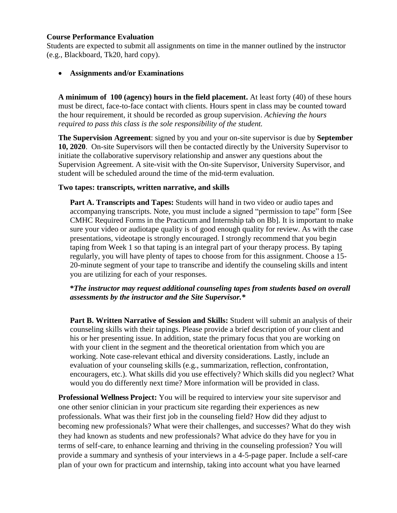#### **Course Performance Evaluation**

Students are expected to submit all assignments on time in the manner outlined by the instructor (e.g., Blackboard, Tk20, hard copy).

• **Assignments and/or Examinations**

**A minimum of 100 (agency) hours in the field placement.** At least forty (40) of these hours must be direct, face-to-face contact with clients. Hours spent in class may be counted toward the hour requirement, it should be recorded as group supervision. *Achieving the hours required to pass this class is the sole responsibility of the student.*

**The Supervision Agreement**: signed by you and your on-site supervisor is due by **September 10, 2020**. On-site Supervisors will then be contacted directly by the University Supervisor to initiate the collaborative supervisory relationship and answer any questions about the Supervision Agreement. A site-visit with the On-site Supervisor, University Supervisor, and student will be scheduled around the time of the mid-term evaluation.

### **Two tapes: transcripts, written narrative, and skills**

**Part A. Transcripts and Tapes:** Students will hand in two video or audio tapes and accompanying transcripts. Note, you must include a signed "permission to tape" form [See CMHC Required Forms in the Practicum and Internship tab on Bb]. It is important to make sure your video or audiotape quality is of good enough quality for review. As with the case presentations, videotape is strongly encouraged. I strongly recommend that you begin taping from Week 1 so that taping is an integral part of your therapy process. By taping regularly, you will have plenty of tapes to choose from for this assignment. Choose a 15- 20-minute segment of your tape to transcribe and identify the counseling skills and intent you are utilizing for each of your responses.

#### **\****The instructor may request additional counseling tapes from students based on overall assessments by the instructor and the Site Supervisor.\**

**Part B. Written Narrative of Session and Skills:** Student will submit an analysis of their counseling skills with their tapings. Please provide a brief description of your client and his or her presenting issue. In addition, state the primary focus that you are working on with your client in the segment and the theoretical orientation from which you are working. Note case-relevant ethical and diversity considerations. Lastly, include an evaluation of your counseling skills (e.g., summarization, reflection, confrontation, encouragers, etc.). What skills did you use effectively? Which skills did you neglect? What would you do differently next time? More information will be provided in class.

**Professional Wellness Project:** You will be required to interview your site supervisor and one other senior clinician in your practicum site regarding their experiences as new professionals. What was their first job in the counseling field? How did they adjust to becoming new professionals? What were their challenges, and successes? What do they wish they had known as students and new professionals? What advice do they have for you in terms of self-care, to enhance learning and thriving in the counseling profession? You will provide a summary and synthesis of your interviews in a 4-5-page paper. Include a self-care plan of your own for practicum and internship, taking into account what you have learned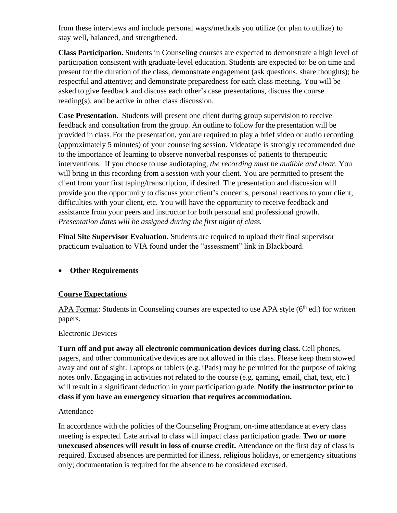from these interviews and include personal ways/methods you utilize (or plan to utilize) to stay well, balanced, and strengthened.

**Class Participation.** Students in Counseling courses are expected to demonstrate a high level of participation consistent with graduate-level education. Students are expected to: be on time and present for the duration of the class; demonstrate engagement (ask questions, share thoughts); be respectful and attentive; and demonstrate preparedness for each class meeting. You will be asked to give feedback and discuss each other's case presentations, discuss the course reading(s), and be active in other class discussion.

**Case Presentation.** Students will present one client during group supervision to receive feedback and consultation from the group. An outline to follow for the presentation will be provided in class. For the presentation, you are required to play a brief video or audio recording (approximately 5 minutes) of your counseling session. Videotape is strongly recommended due to the importance of learning to observe nonverbal responses of patients to therapeutic interventions. If you choose to use audiotaping, *the recording must be audible and clear*. You will bring in this recording from a session with your client. You are permitted to present the client from your first taping/transcription, if desired. The presentation and discussion will provide you the opportunity to discuss your client's concerns, personal reactions to your client, difficulties with your client, etc. You will have the opportunity to receive feedback and assistance from your peers and instructor for both personal and professional growth. *Presentation dates will be assigned during the first night of class.*

**Final Site Supervisor Evaluation.** Students are required to upload their final supervisor practicum evaluation to VIA found under the "assessment" link in Blackboard.

## • **Other Requirements**

## **Course Expectations**

APA Format: Students in Counseling courses are expected to use APA style  $(6<sup>th</sup>$  ed.) for written papers.

#### Electronic Devices

**Turn off and put away all electronic communication devices during class.** Cell phones, pagers, and other communicative devices are not allowed in this class. Please keep them stowed away and out of sight. Laptops or tablets (e.g. iPads) may be permitted for the purpose of taking notes only. Engaging in activities not related to the course (e.g. gaming, email, chat, text, etc.) will result in a significant deduction in your participation grade. **Notify the instructor prior to class if you have an emergency situation that requires accommodation.**

#### Attendance

In accordance with the policies of the Counseling Program, on-time attendance at every class meeting is expected. Late arrival to class will impact class participation grade. **Two or more unexcused absences will result in loss of course credit.** Attendance on the first day of class is required. Excused absences are permitted for illness, religious holidays, or emergency situations only; documentation is required for the absence to be considered excused.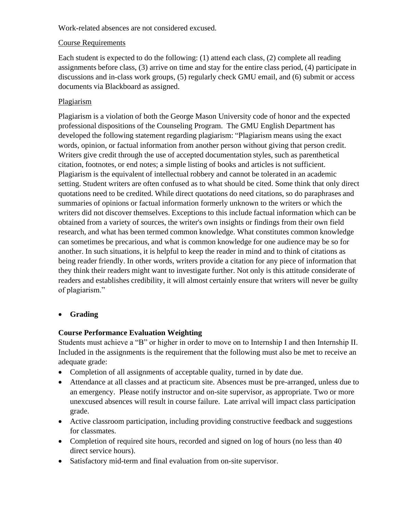Work-related absences are not considered excused.

## Course Requirements

Each student is expected to do the following: (1) attend each class, (2) complete all reading assignments before class, (3) arrive on time and stay for the entire class period, (4) participate in discussions and in-class work groups, (5) regularly check GMU email, and (6) submit or access documents via Blackboard as assigned.

# Plagiarism

Plagiarism is a violation of both the George Mason University code of honor and the expected professional dispositions of the Counseling Program. The GMU English Department has developed the following statement regarding plagiarism: "Plagiarism means using the exact words, opinion, or factual information from another person without giving that person credit. Writers give credit through the use of accepted documentation styles, such as parenthetical citation, footnotes, or end notes; a simple listing of books and articles is not sufficient. Plagiarism is the equivalent of intellectual robbery and cannot be tolerated in an academic setting. Student writers are often confused as to what should be cited. Some think that only direct quotations need to be credited. While direct quotations do need citations, so do paraphrases and summaries of opinions or factual information formerly unknown to the writers or which the writers did not discover themselves. Exceptions to this include factual information which can be obtained from a variety of sources, the writer's own insights or findings from their own field research, and what has been termed common knowledge. What constitutes common knowledge can sometimes be precarious, and what is common knowledge for one audience may be so for another. In such situations, it is helpful to keep the reader in mind and to think of citations as being reader friendly. In other words, writers provide a citation for any piece of information that they think their readers might want to investigate further. Not only is this attitude considerate of readers and establishes credibility, it will almost certainly ensure that writers will never be guilty of plagiarism."

# • **Grading**

# **Course Performance Evaluation Weighting**

Students must achieve a "B" or higher in order to move on to Internship I and then Internship II. Included in the assignments is the requirement that the following must also be met to receive an adequate grade:

- Completion of all assignments of acceptable quality, turned in by date due.
- Attendance at all classes and at practicum site. Absences must be pre-arranged, unless due to an emergency. Please notify instructor and on-site supervisor, as appropriate. Two or more unexcused absences will result in course failure. Late arrival will impact class participation grade.
- Active classroom participation, including providing constructive feedback and suggestions for classmates.
- Completion of required site hours, recorded and signed on log of hours (no less than 40 direct service hours).
- Satisfactory mid-term and final evaluation from on-site supervisor.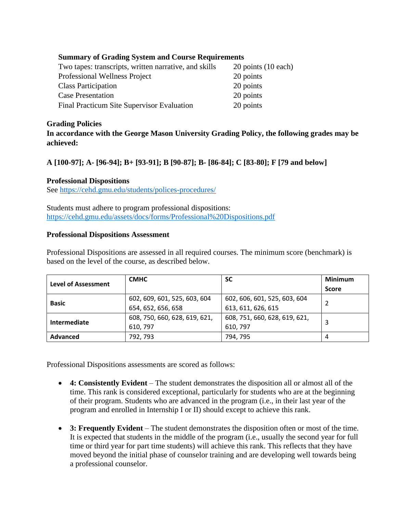# **Summary of Grading System and Course Requirements**

| Two tapes: transcripts, written narrative, and skills | 20 points (10 each) |
|-------------------------------------------------------|---------------------|
| Professional Wellness Project                         | 20 points           |
| <b>Class Participation</b>                            | 20 points           |
| <b>Case Presentation</b>                              | 20 points           |
| Final Practicum Site Supervisor Evaluation            | 20 points           |

### **Grading Policies**

**In accordance with the George Mason University Grading Policy, the following grades may be achieved:**

# **A [100-97]; A- [96-94]; B+ [93-91]; B [90-87]; B- [86-84]; C [83-80]; F [79 and below]**

### **Professional Dispositions**

See<https://cehd.gmu.edu/students/polices-procedures/>

Students must adhere to program professional dispositions: <https://cehd.gmu.edu/assets/docs/forms/Professional%20Dispositions.pdf>

### **Professional Dispositions Assessment**

Professional Dispositions are assessed in all required courses. The minimum score (benchmark) is based on the level of the course, as described below.

| <b>Level of Assessment</b> | <b>CMHC</b>                   | <b>SC</b>                     | <b>Minimum</b> |  |
|----------------------------|-------------------------------|-------------------------------|----------------|--|
|                            |                               |                               | <b>Score</b>   |  |
| <b>Basic</b>               | 602, 609, 601, 525, 603, 604  | 602, 606, 601, 525, 603, 604  |                |  |
|                            | 654, 652, 656, 658            | 613, 611, 626, 615            |                |  |
| Intermediate               | 608, 750, 660, 628, 619, 621, | 608, 751, 660, 628, 619, 621, |                |  |
|                            | 610, 797                      | 610, 797                      |                |  |
| <b>Advanced</b>            | 792, 793                      | 794, 795                      |                |  |

Professional Dispositions assessments are scored as follows:

- **4: Consistently Evident** The student demonstrates the disposition all or almost all of the time. This rank is considered exceptional, particularly for students who are at the beginning of their program. Students who are advanced in the program (i.e., in their last year of the program and enrolled in Internship I or II) should except to achieve this rank.
- **3: Frequently Evident** The student demonstrates the disposition often or most of the time. It is expected that students in the middle of the program (i.e., usually the second year for full time or third year for part time students) will achieve this rank. This reflects that they have moved beyond the initial phase of counselor training and are developing well towards being a professional counselor.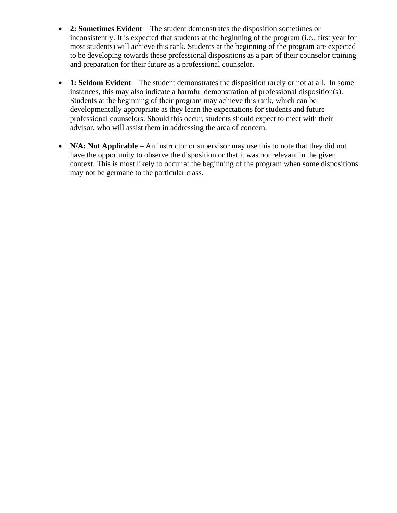- **2: Sometimes Evident** The student demonstrates the disposition sometimes or inconsistently. It is expected that students at the beginning of the program (i.e., first year for most students) will achieve this rank. Students at the beginning of the program are expected to be developing towards these professional dispositions as a part of their counselor training and preparation for their future as a professional counselor.
- **1: Seldom Evident** The student demonstrates the disposition rarely or not at all. In some instances, this may also indicate a harmful demonstration of professional disposition(s). Students at the beginning of their program may achieve this rank, which can be developmentally appropriate as they learn the expectations for students and future professional counselors. Should this occur, students should expect to meet with their advisor, who will assist them in addressing the area of concern.
- **N/A: Not Applicable** An instructor or supervisor may use this to note that they did not have the opportunity to observe the disposition or that it was not relevant in the given context. This is most likely to occur at the beginning of the program when some dispositions may not be germane to the particular class.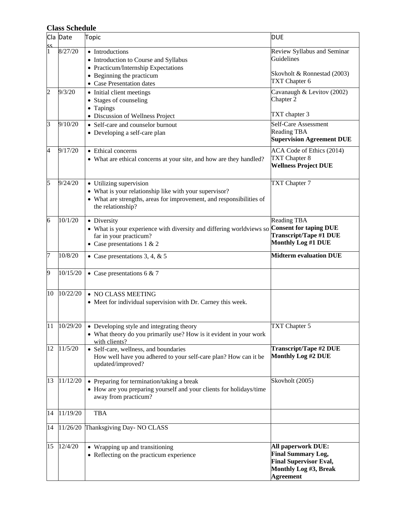# **Class Schedule**

| SΣ | Cla Date | Topic                                                                                                                                                                          | <b>DUE</b>                                                                                                                           |  |  |
|----|----------|--------------------------------------------------------------------------------------------------------------------------------------------------------------------------------|--------------------------------------------------------------------------------------------------------------------------------------|--|--|
|    | 8/27/20  | • Introductions<br>• Introduction to Course and Syllabus<br>• Practicum/Internship Expectations<br>• Beginning the practicum<br>• Case Presentation dates                      | Review Syllabus and Seminar<br>Guidelines<br>Skovholt & Ronnestad (2003)<br>TXT Chapter 6                                            |  |  |
| 2  | 9/3/20   | • Initial client meetings<br>• Stages of counseling<br>• Tapings                                                                                                               | Cavanaugh & Levitov (2002)<br>Chapter 2                                                                                              |  |  |
| 3  | 9/10/20  | • Discussion of Wellness Project<br>• Self-care and counselor burnout<br>• Developing a self-care plan                                                                         | TXT chapter 3<br><b>Self-Care Assessment</b><br><b>Reading TBA</b><br><b>Supervision Agreement DUE</b>                               |  |  |
| 4  | 9/17/20  | • Ethical concerns<br>• What are ethical concerns at your site, and how are they handled?                                                                                      | ACA Code of Ethics (2014)<br>TXT Chapter 8<br><b>Wellness Project DUE</b>                                                            |  |  |
| 5  | 9/24/20  | • Utilizing supervision<br>• What is your relationship like with your supervisor?<br>• What are strengths, areas for improvement, and responsibilities of<br>the relationship? | TXT Chapter 7                                                                                                                        |  |  |
| 6  | 10/1/20  | • Diversity<br>• What is your experience with diversity and differing worldviews so<br>far in your practicum?<br>• Case presentations $1 \& 2$                                 | <b>Reading TBA</b><br><b>Consent for taping DUE</b><br><b>Transcript/Tape #1 DUE</b><br><b>Monthly Log #1 DUE</b>                    |  |  |
| 7  | 10/8/20  | • Case presentations 3, 4, $& 5$                                                                                                                                               | <b>Midterm evaluation DUE</b>                                                                                                        |  |  |
| 9  | 10/15/20 | • Case presentations 6 & 7                                                                                                                                                     |                                                                                                                                      |  |  |
| 10 | 10/22/20 | • NO CLASS MEETING<br>• Meet for individual supervision with Dr. Carney this week.                                                                                             |                                                                                                                                      |  |  |
| 11 | 10/29/20 | • Developing style and integrating theory<br>• What theory do you primarily use? How is it evident in your work<br>with clients?                                               | TXT Chapter 5                                                                                                                        |  |  |
| 12 | 11/5/20  | • Self-care, wellness, and boundaries<br>How well have you adhered to your self-care plan? How can it be<br>updated/improved?                                                  | <b>Transcript/Tape #2 DUE</b><br><b>Monthly Log #2 DUE</b>                                                                           |  |  |
| 13 | 11/12/20 | • Preparing for termination/taking a break<br>• How are you preparing yourself and your clients for holidays/time<br>away from practicum?                                      | Skovholt (2005)                                                                                                                      |  |  |
| 14 | 11/19/20 | <b>TBA</b>                                                                                                                                                                     |                                                                                                                                      |  |  |
| 14 | 11/26/20 | Thanksgiving Day- NO CLASS                                                                                                                                                     |                                                                                                                                      |  |  |
| 15 | 12/4/20  | • Wrapping up and transitioning<br>• Reflecting on the practicum experience                                                                                                    | <b>All paperwork DUE:</b><br><b>Final Summary Log,</b><br><b>Final Supervisor Eval,</b><br>Monthly Log #3, Break<br><b>Agreement</b> |  |  |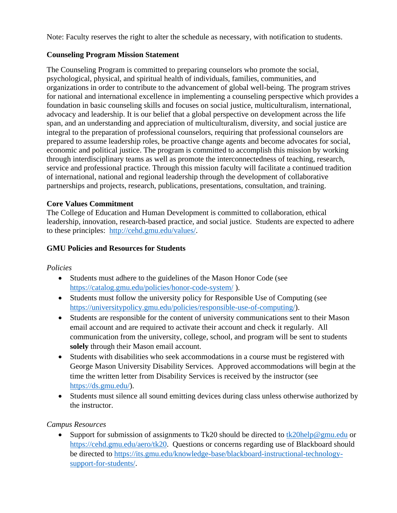Note: Faculty reserves the right to alter the schedule as necessary, with notification to students.

### **Counseling Program Mission Statement**

The Counseling Program is committed to preparing counselors who promote the social, psychological, physical, and spiritual health of individuals, families, communities, and organizations in order to contribute to the advancement of global well-being. The program strives for national and international excellence in implementing a counseling perspective which provides a foundation in basic counseling skills and focuses on social justice, multiculturalism, international, advocacy and leadership. It is our belief that a global perspective on development across the life span, and an understanding and appreciation of multiculturalism, diversity, and social justice are integral to the preparation of professional counselors, requiring that professional counselors are prepared to assume leadership roles, be proactive change agents and become advocates for social, economic and political justice. The program is committed to accomplish this mission by working through interdisciplinary teams as well as promote the interconnectedness of teaching, research, service and professional practice. Through this mission faculty will facilitate a continued tradition of international, national and regional leadership through the development of collaborative partnerships and projects, research, publications, presentations, consultation, and training.

### **Core Values Commitment**

The College of Education and Human Development is committed to collaboration, ethical leadership, innovation, research-based practice, and social justice. Students are expected to adhere to these principles: [http://cehd.gmu.edu/values/.](http://cehd.gmu.edu/values/)

## **GMU Policies and Resources for Students**

#### *Policies*

- Students must adhere to the guidelines of the Mason Honor Code (see <https://catalog.gmu.edu/policies/honor-code-system/> ).
- Students must follow the university policy for Responsible Use of Computing (see [https://universitypolicy.gmu.edu/policies/responsible-use-of-computing/\)](https://universitypolicy.gmu.edu/policies/responsible-use-of-computing/).
- Students are responsible for the content of university communications sent to their Mason email account and are required to activate their account and check it regularly. All communication from the university, college, school, and program will be sent to students **solely** through their Mason email account.
- Students with disabilities who seek accommodations in a course must be registered with George Mason University Disability Services. Approved accommodations will begin at the time the written letter from Disability Services is received by the instructor (see [https://ds.gmu.edu/\)](https://ds.gmu.edu/).
- Students must silence all sound emitting devices during class unless otherwise authorized by the instructor.

## *Campus Resources*

• Support for submission of assignments to Tk20 should be directed to  $\frac{tk20\text{help@gmu.edu}}{tk20\text{help@gmu.edu}}$  or [https://cehd.gmu.edu/aero/tk20.](https://cehd.gmu.edu/aero/tk20) Questions or concerns regarding use of Blackboard should be directed to [https://its.gmu.edu/knowledge-base/blackboard-instructional-technology](https://its.gmu.edu/knowledge-base/blackboard-instructional-technology-support-for-students/)[support-for-students/.](https://its.gmu.edu/knowledge-base/blackboard-instructional-technology-support-for-students/)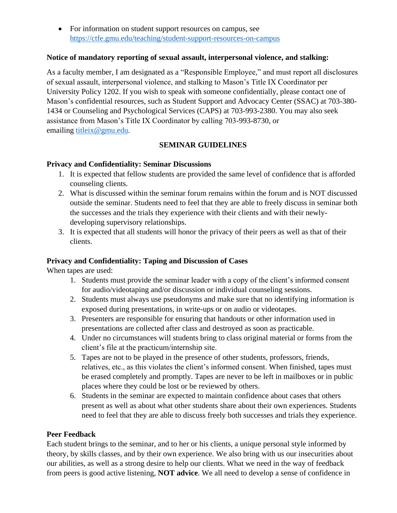• For information on student support resources on campus, see <https://ctfe.gmu.edu/teaching/student-support-resources-on-campus>

### **Notice of mandatory reporting of sexual assault, interpersonal violence, and stalking:**

As a faculty member, I am designated as a "Responsible Employee," and must report all disclosures of sexual assault, interpersonal violence, and stalking to Mason's Title IX Coordinator per University Policy 1202. If you wish to speak with someone confidentially, please contact one of Mason's confidential resources, such as Student Support and Advocacy Center (SSAC) at 703-380- 1434 or Counseling and Psychological Services (CAPS) at 703-993-2380. You may also seek assistance from Mason's Title IX Coordinator by calling 703-993-8730, or emailing [titleix@gmu.edu.](mailto:titleix@gmu.edu)

# **SEMINAR GUIDELINES**

### **Privacy and Confidentiality: Seminar Discussions**

- 1. It is expected that fellow students are provided the same level of confidence that is afforded counseling clients.
- 2. What is discussed within the seminar forum remains within the forum and is NOT discussed outside the seminar. Students need to feel that they are able to freely discuss in seminar both the successes and the trials they experience with their clients and with their newlydeveloping supervisory relationships.
- 3. It is expected that all students will honor the privacy of their peers as well as that of their clients.

### **Privacy and Confidentiality: Taping and Discussion of Cases**

When tapes are used:

- 1. Students must provide the seminar leader with a copy of the client's informed consent for audio/videotaping and/or discussion or individual counseling sessions.
- 2. Students must always use pseudonyms and make sure that no identifying information is exposed during presentations, in write-ups or on audio or videotapes.
- 3. Presenters are responsible for ensuring that handouts or other information used in presentations are collected after class and destroyed as soon as practicable.
- 4. Under no circumstances will students bring to class original material or forms from the client's file at the practicum/internship site.
- 5. Tapes are not to be played in the presence of other students, professors, friends, relatives, etc., as this violates the client's informed consent. When finished, tapes must be erased completely and promptly. Tapes are never to be left in mailboxes or in public places where they could be lost or be reviewed by others.
- 6. Students in the seminar are expected to maintain confidence about cases that others present as well as about what other students share about their own experiences. Students need to feel that they are able to discuss freely both successes and trials they experience.

## **Peer Feedback**

Each student brings to the seminar, and to her or his clients, a unique personal style informed by theory, by skills classes, and by their own experience. We also bring with us our insecurities about our abilities, as well as a strong desire to help our clients. What we need in the way of feedback from peers is good active listening, **NOT advice**. We all need to develop a sense of confidence in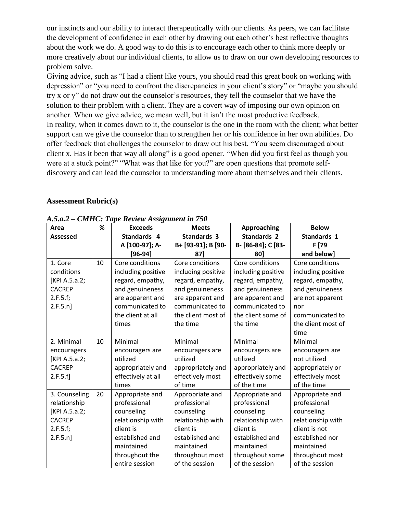our instincts and our ability to interact therapeutically with our clients. As peers, we can facilitate the development of confidence in each other by drawing out each other's best reflective thoughts about the work we do. A good way to do this is to encourage each other to think more deeply or more creatively about our individual clients, to allow us to draw on our own developing resources to problem solve.

Giving advice, such as "I had a client like yours, you should read this great book on working with depression" or "you need to confront the discrepancies in your client's story" or "maybe you should try x or y" do not draw out the counselor's resources, they tell the counselor that we have the solution to their problem with a client. They are a covert way of imposing our own opinion on another. When we give advice, we mean well, but it isn't the most productive feedback. In reality, when it comes down to it, the counselor is the one in the room with the client; what better support can we give the counselor than to strengthen her or his confidence in her own abilities. Do offer feedback that challenges the counselor to draw out his best. "You seem discouraged about client x. Has it been that way all along" is a good opener. "When did you first feel as though you were at a stuck point?" "What was that like for you?" are open questions that promote selfdiscovery and can lead the counselor to understanding more about themselves and their clients.

### **Assessment Rubric(s)**

| Area            | %           | <b>Exceeds</b>     | <b>Meets</b>       | Approaching        | <b>Below</b>       |
|-----------------|-------------|--------------------|--------------------|--------------------|--------------------|
| <b>Assessed</b> | Standards 4 |                    | <b>Standards 3</b> | <b>Standards 2</b> | Standards 1        |
|                 |             | A [100-97]; A-     | B+ [93-91]; B [90- | B- [86-84]; C [83- | F [79              |
|                 |             | $[96-94]$          | 871                | 801                | and below]         |
| 1. Core         | 10          | Core conditions    | Core conditions    | Core conditions    | Core conditions    |
| conditions      |             | including positive | including positive | including positive | including positive |
| [KPI A.5.a.2;   |             | regard, empathy,   | regard, empathy,   | regard, empathy,   | regard, empathy,   |
| <b>CACREP</b>   |             | and genuineness    | and genuineness    | and genuineness    | and genuineness    |
| 2.F.5.f;        |             | are apparent and   | are apparent and   | are apparent and   | are not apparent   |
| 2.F.5.n]        |             | communicated to    | communicated to    | communicated to    | nor                |
|                 |             | the client at all  | the client most of | the client some of | communicated to    |
|                 |             | times              | the time           | the time           | the client most of |
|                 |             |                    |                    |                    | time               |
| 2. Minimal      | 10          | Minimal            | Minimal            | Minimal            | Minimal            |
| encouragers     |             | encouragers are    | encouragers are    | encouragers are    | encouragers are    |
| [KPI A.5.a.2;   |             | utilized           | utilized           | utilized           | not utilized       |
| <b>CACREP</b>   |             | appropriately and  | appropriately and  | appropriately and  | appropriately or   |
| 2.F.5.f]        |             | effectively at all | effectively most   | effectively some   | effectively most   |
|                 |             | times              | of time            | of the time        | of the time        |
| 3. Counseling   | 20          | Appropriate and    | Appropriate and    | Appropriate and    | Appropriate and    |
| relationship    |             | professional       | professional       | professional       | professional       |
| [KPI A.5.a.2;   |             | counseling         | counseling         | counseling         | counseling         |
| <b>CACREP</b>   |             | relationship with  | relationship with  | relationship with  | relationship with  |
| 2.F.5.f;        |             | client is          | client is          | client is          | client is not      |
| 2.F.5.n]        |             | established and    | established and    | established and    | established nor    |
|                 |             | maintained         | maintained         | maintained         | maintained         |
|                 |             | throughout the     | throughout most    | throughout some    | throughout most    |
|                 |             | entire session     | of the session     | of the session     | of the session     |

*A.5.a.2 – CMHC: Tape Review Assignment in 750*